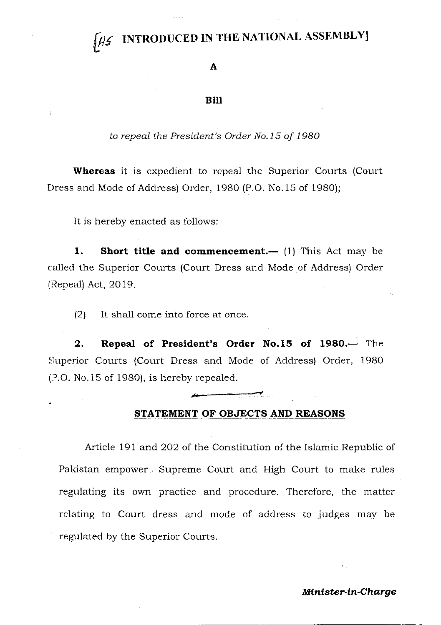### INTRODUCED IN THE NATIONAL ASSEMBLY]

A

#### Bill

to repeal the President's Order No.15 of 1980

Whereas it is expedient to repeal the Superior Courts (Court Dress and Mode of Address) Order, 1980 (P.O. No.15 of 1980);

It is hereby enacted as follows:

1. Short title and commencement.—  $(1)$  This Act may be called the Superior Courts (Court Dress and Mode of Address) Order (Repeal) Act,2Ol9.

 $(2)$  It shall come into force at once.

2. Repeal of President's Order No.15 of 1980.— The Siuperior Courts (Court Dress and Mode of Address) Order, 1980  $(2.0.$  No.15 of 1980), is hereby repealed.

#### STATEMENT OF OBJECTS AND REASONS

Article 191 and 2O2 of the Constitution of the Islamic Republic of Pakistan empower', Supreme Court and High Court to make rules regulating its own practice and procedure. Therefore, the matter relating to Court dress and mode of address to judges may be regulated by the Superior Courts.

#### Minister-in-Charge